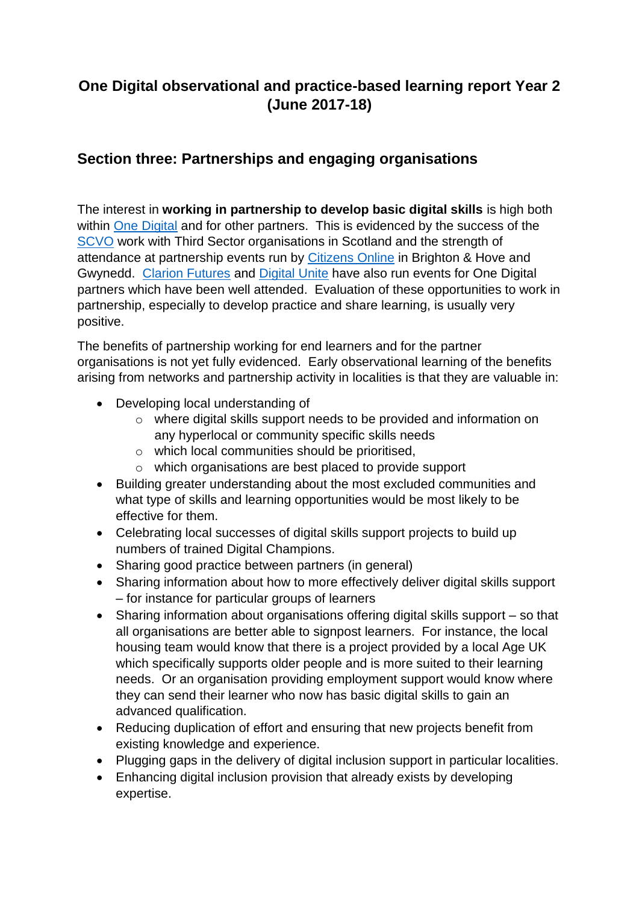## **One Digital observational and practice-based learning report Year 2 (June 2017-18)**

## **Section three: Partnerships and engaging organisations**

The interest in **working in partnership to develop basic digital skills** is high both within [One Digital](https://onedigitaluk.com/) and for other partners. This is evidenced by the success of the [SCVO](https://scvo.org.uk/) work with Third Sector organisations in Scotland and the strength of attendance at partnership events run by [Citizens Online](https://www.citizensonline.org.uk/) in Brighton & Hove and Gwynedd. [Clarion Futures](http://www.clarionhg.com/charitable-foundation/clarion-futures-communities/) and [Digital Unite](https://www.digitalunite.com/) have also run events for One Digital partners which have been well attended. Evaluation of these opportunities to work in partnership, especially to develop practice and share learning, is usually very positive.

The benefits of partnership working for end learners and for the partner organisations is not yet fully evidenced. Early observational learning of the benefits arising from networks and partnership activity in localities is that they are valuable in:

- Developing local understanding of
	- o where digital skills support needs to be provided and information on any hyperlocal or community specific skills needs
	- o which local communities should be prioritised,
	- o which organisations are best placed to provide support
- Building greater understanding about the most excluded communities and what type of skills and learning opportunities would be most likely to be effective for them.
- Celebrating local successes of digital skills support projects to build up numbers of trained Digital Champions.
- Sharing good practice between partners (in general)
- Sharing information about how to more effectively deliver digital skills support – for instance for particular groups of learners
- Sharing information about organisations offering digital skills support so that all organisations are better able to signpost learners. For instance, the local housing team would know that there is a project provided by a local Age UK which specifically supports older people and is more suited to their learning needs. Or an organisation providing employment support would know where they can send their learner who now has basic digital skills to gain an advanced qualification.
- Reducing duplication of effort and ensuring that new projects benefit from existing knowledge and experience.
- Plugging gaps in the delivery of digital inclusion support in particular localities.
- Enhancing digital inclusion provision that already exists by developing expertise.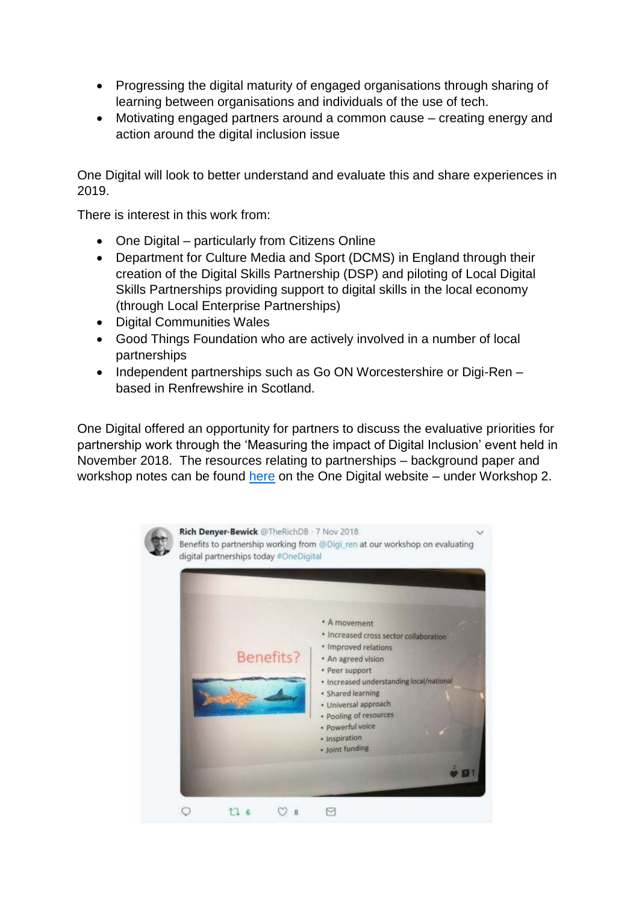- Progressing the digital maturity of engaged organisations through sharing of learning between organisations and individuals of the use of tech.
- Motivating engaged partners around a common cause creating energy and action around the digital inclusion issue

One Digital will look to better understand and evaluate this and share experiences in 2019.

There is interest in this work from:

- One Digital particularly from Citizens Online
- Department for Culture Media and Sport (DCMS) in England through their creation of the Digital Skills Partnership (DSP) and piloting of Local Digital Skills Partnerships providing support to digital skills in the local economy (through Local Enterprise Partnerships)
- Digital Communities Wales
- Good Things Foundation who are actively involved in a number of local partnerships
- Independent partnerships such as Go ON Worcestershire or Digi-Ren based in Renfrewshire in Scotland.

One Digital offered an opportunity for partners to discuss the evaluative priorities for partnership work through the 'Measuring the impact of Digital Inclusion' event held in November 2018. The resources relating to partnerships – background paper and workshop notes can be found [here](https://onedigitaluk.com/demonstrating-digital-inclusion/) on the One Digital website – under Workshop 2.

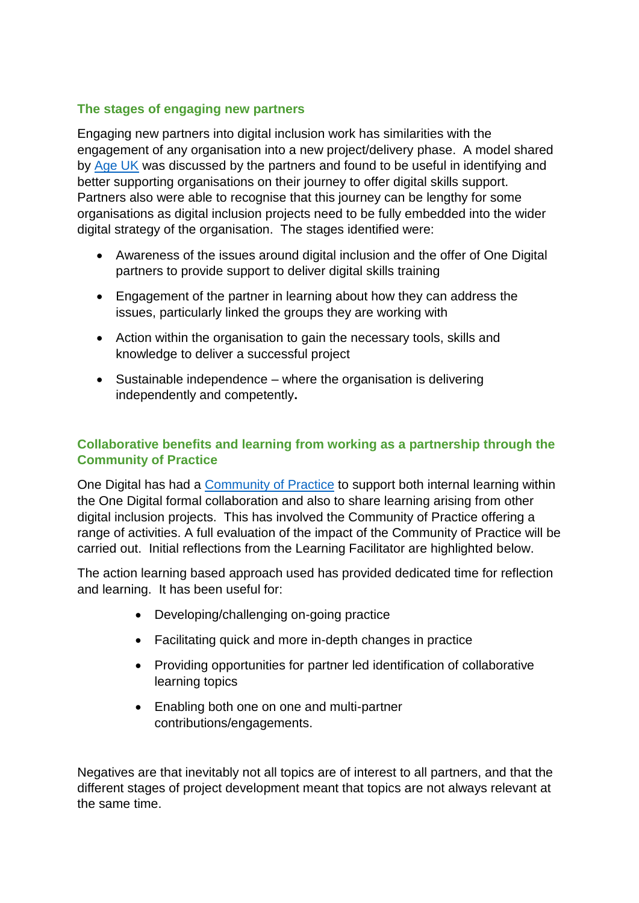## **The stages of engaging new partners**

Engaging new partners into digital inclusion work has similarities with the engagement of any organisation into a new project/delivery phase. A model shared by [Age UK](https://www.ageuk.org.uk/) was discussed by the partners and found to be useful in identifying and better supporting organisations on their journey to offer digital skills support. Partners also were able to recognise that this journey can be lengthy for some organisations as digital inclusion projects need to be fully embedded into the wider digital strategy of the organisation. The stages identified were:

- Awareness of the issues around digital inclusion and the offer of One Digital partners to provide support to deliver digital skills training
- Engagement of the partner in learning about how they can address the issues, particularly linked the groups they are working with
- Action within the organisation to gain the necessary tools, skills and knowledge to deliver a successful project
- $\bullet$  Sustainable independence where the organisation is delivering independently and competently**.**

## **Collaborative benefits and learning from working as a partnership through the Community of Practice**

One Digital has had a [Community of Practice](https://onedigitaluk.com/community-of-practice/about/) to support both internal learning within the One Digital formal collaboration and also to share learning arising from other digital inclusion projects. This has involved the Community of Practice offering a range of activities. A full evaluation of the impact of the Community of Practice will be carried out. Initial reflections from the Learning Facilitator are highlighted below.

The action learning based approach used has provided dedicated time for reflection and learning. It has been useful for:

- Developing/challenging on-going practice
- Facilitating quick and more in-depth changes in practice
- Providing opportunities for partner led identification of collaborative learning topics
- Enabling both one on one and multi-partner contributions/engagements.

Negatives are that inevitably not all topics are of interest to all partners, and that the different stages of project development meant that topics are not always relevant at the same time.